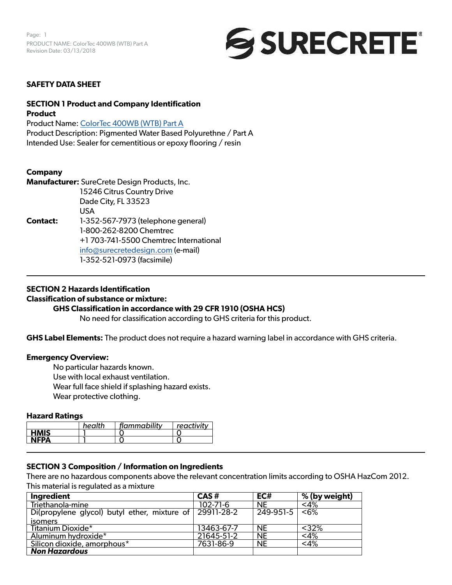Page: 1 PRODUCT NAME: ColorTec 400WB (WTB) Part A Revision Date: 03/13/2018



### **SAFETY DATA SHEET**

# **SECTION 1 Product and Company Identification Product**

Product Name: [ColorTec 400WB \(WTB\) Part A](https://www.surecretedesign.com/product/wb-colored-floor-polyurethane/) Product Description: Pigmented Water Based Polyurethne / Part A Intended Use: Sealer for cementitious or epoxy flooring / resin

# **Company**

**Manufacturer:** SureCrete Design Products, Inc. 15246 Citrus Country Drive Dade City, FL 33523 USA **Contact:** 1-352-567-7973 (telephone general) 1-800-262-8200 Chemtrec +1 703-741-5500 Chemtrec International [info@surecretedesign.com](mailto:info%40surecretedesign.com?subject=ColorTec%20400%20WB%20%28WTB%29%20Part%20A%20-%20SDS%20Inquiry) (e-mail) 1-352-521-0973 (facsimile)

#### **SECTION 2 Hazards Identification**

#### **Classification of substance or mixture:**

#### **GHS Classification in accordance with 29 CFR 1910 (OSHA HCS)**

No need for classification according to GHS criteria for this product.

**GHS Label Elements:** The product does not require a hazard warning label in accordance with GHS criteria.

#### **Emergency Overview:**

No particular hazards known.

Use with local exhaust ventilation.

Wear full face shield if splashing hazard exists.

Wear protective clothing.

#### **Hazard Ratings**

|             | health | flammability | reactivity |
|-------------|--------|--------------|------------|
| <b>HMIS</b> |        |              |            |
| <b>NFPA</b> |        |              |            |

# **SECTION 3 Composition / Information on Ingredients**

There are no hazardous components above the relevant concentration limits according to OSHA HazCom 2012. This material is regulated as a mixture

| <b>Ingredient</b>                                       | CAS#           | EC#                    | % (by weight) |
|---------------------------------------------------------|----------------|------------------------|---------------|
| Triethanola-mine                                        | $102 - 71 - 6$ | <b>NE</b>              | $<$ 4%        |
| Di(propylene glycol) butyl ether, mixture of 29911-28-2 |                | $\overline{249-951-5}$ | < 6%          |
| isomers                                                 |                |                        |               |
| Titanium Dioxide*                                       | 13463-67-7     | <b>NE</b>              | $<$ 32%       |
| Aluminum hydroxide*                                     | 21645-51-2     | <b>NE</b>              | $<$ 4%        |
| Silicon dioxide, amorphous*                             | 7631-86-9      | <b>NE</b>              | $<$ 4%        |
| <b>Non Hazardous</b>                                    |                |                        |               |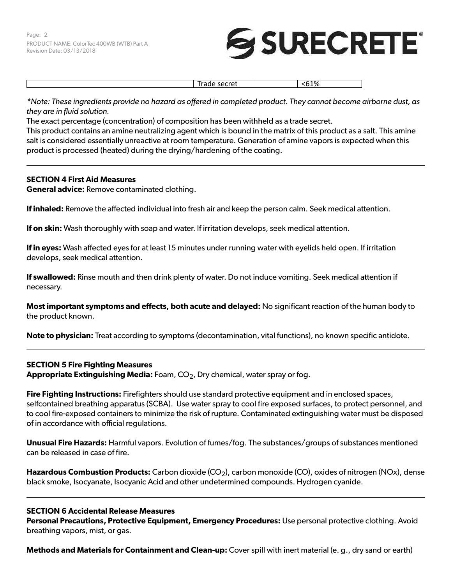# **SURECRETE**

Trade secret  $|$  <61%

*\*Note: These ingredients provide no hazard as offered in completed product. They cannot become airborne dust, as they are in fluid solution.*

The exact percentage (concentration) of composition has been withheld as a trade secret.

This product contains an amine neutralizing agent which is bound in the matrix of this product as a salt. This amine salt is considered essentially unreactive at room temperature. Generation of amine vapors is expected when this product is processed (heated) during the drying/hardening of the coating.

# **SECTION 4 First Aid Measures**

**General advice:** Remove contaminated clothing.

**If inhaled:** Remove the affected individual into fresh air and keep the person calm. Seek medical attention.

**If on skin:** Wash thoroughly with soap and water. If irritation develops, seek medical attention.

**If in eyes:** Wash affected eyes for at least 15 minutes under running water with eyelids held open. If irritation develops, seek medical attention.

**If swallowed:** Rinse mouth and then drink plenty of water. Do not induce vomiting. Seek medical attention if necessary.

**Most important symptoms and effects, both acute and delayed:** No significant reaction of the human body to the product known.

**Note to physician:** Treat according to symptoms (decontamination, vital functions), no known specific antidote.

# **SECTION 5 Fire Fighting Measures Appropriate Extinguishing Media:** Foam, CO<sub>2</sub>, Dry chemical, water spray or fog.

**Fire Fighting Instructions:** Firefighters should use standard protective equipment and in enclosed spaces, selfcontained breathing apparatus (SCBA). Use water spray to cool fire exposed surfaces, to protect personnel, and to cool fire-exposed containers to minimize the risk of rupture. Contaminated extinguishing water must be disposed of in accordance with official regulations.

**Unusual Fire Hazards:** Harmful vapors. Evolution of fumes/fog. The substances/groups of substances mentioned can be released in case of fire.

**Hazardous Combustion Products:** Carbon dioxide (CO<sub>2</sub>), carbon monoxide (CO), oxides of nitrogen (NOx), dense black smoke, Isocyanate, Isocyanic Acid and other undetermined compounds. Hydrogen cyanide.

# **SECTION 6 Accidental Release Measures**

**Personal Precautions, Protective Equipment, Emergency Procedures:** Use personal protective clothing. Avoid breathing vapors, mist, or gas.

**Methods and Materials for Containment and Clean-up:** Cover spill with inert material (e. g., dry sand or earth)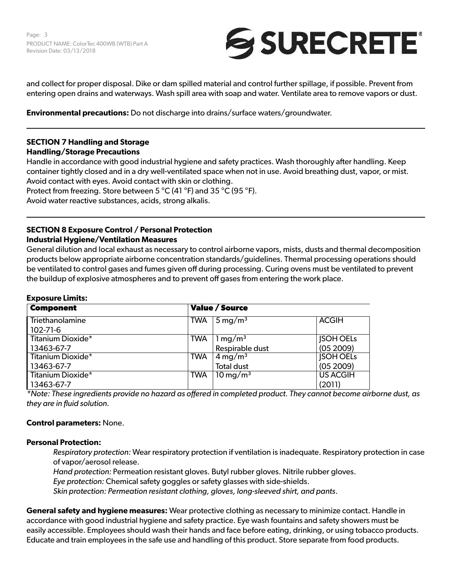

and collect for proper disposal. Dike or dam spilled material and control further spillage, if possible. Prevent from entering open drains and waterways. Wash spill area with soap and water. Ventilate area to remove vapors or dust.

**Environmental precautions:** Do not discharge into drains/surface waters/groundwater.

# **SECTION 7 Handling and Storage**

# **Handling/Storage Precautions**

Handle in accordance with good industrial hygiene and safety practices. Wash thoroughly after handling. Keep container tightly closed and in a dry well-ventilated space when not in use. Avoid breathing dust, vapor, or mist. Avoid contact with eyes. Avoid contact with skin or clothing. Protect from freezing. Store between 5 °C (41 °F) and 35 °C (95 °F). Avoid water reactive substances, acids, strong alkalis.

# **SECTION 8 Exposure Control / Personal Protection Industrial Hygiene/Ventilation Measures**

General dilution and local exhaust as necessary to control airborne vapors, mists, dusts and thermal decomposition products below appropriate airborne concentration standards/guidelines. Thermal processing operations should be ventilated to control gases and fumes given off during processing. Curing ovens must be ventilated to prevent the buildup of explosive atmospheres and to prevent off gases from entering the work place.

# **Exposure Limits:**

| <b>Component</b>         | <b>Value / Source</b> |                           |                  |
|--------------------------|-----------------------|---------------------------|------------------|
| Triethanolamine          | <b>TWA</b>            | $\sqrt{5 \text{ mg/m}^3}$ | <b>ACGIH</b>     |
| $102 - 71 - 6$           |                       |                           |                  |
| <b>Titanium Dioxide*</b> | <b>TWA</b>            | $1 \,\mathrm{mg/m^3}$     | <b>JSOH OELS</b> |
| 13463-67-7               |                       | Respirable dust           | (05 2009)        |
| Titanium Dioxide*        | <b>TWA</b>            | $4 \,\mathrm{mg/m^3}$     | <b>JSOH OELS</b> |
| 13463-67-7               |                       | <b>Total dust</b>         | (052009)         |
| Titanium Dioxide*        | <b>TWA</b>            | $10 \,\mathrm{mg/m^3}$    | <b>US ACGIH</b>  |
| 13463-67-7               |                       |                           | (2011)           |

*\*Note: These ingredients provide no hazard as offered in completed product. They cannot become airborne dust, as they are in fluid solution.*

# **Control parameters:** None.

# **Personal Protection:**

*Respiratory protection:* Wear respiratory protection if ventilation is inadequate. Respiratory protection in case of vapor/aerosol release.

*Hand protection:* Permeation resistant gloves. Butyl rubber gloves. Nitrile rubber gloves.

*Eye protection:* Chemical safety goggles or safety glasses with side-shields.

*Skin protection: Permeation resistant clothing, gloves, long-sleeved shirt, and pants*.

**General safety and hygiene measures:** Wear protective clothing as necessary to minimize contact. Handle in accordance with good industrial hygiene and safety practice. Eye wash fountains and safety showers must be easily accessible. Employees should wash their hands and face before eating, drinking, or using tobacco products. Educate and train employees in the safe use and handling of this product. Store separate from food products.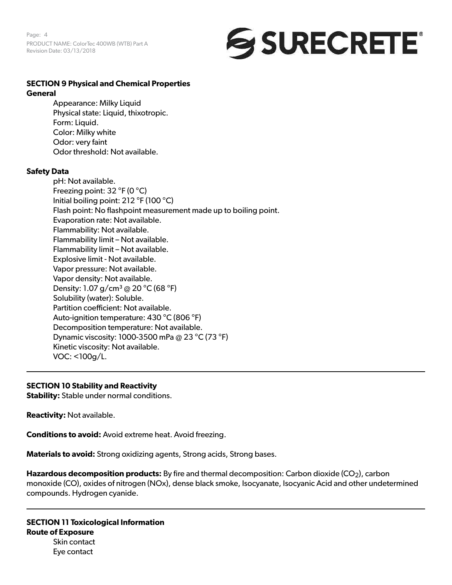Page: 4 PRODUCT NAME: ColorTec 400WB (WTB) Part A Revision Date: 03/13/2018



#### **SECTION 9 Physical and Chemical Properties General**

Appearance: Milky Liquid Physical state: Liquid, thixotropic. Form: Liquid. Color: Milky white Odor: very faint Odor threshold: Not available.

# **Safety Data**

pH: Not available. Freezing point: 32 °F (0 °C) Initial boiling point: 212 °F (100 °C) Flash point: No flashpoint measurement made up to boiling point. Evaporation rate: Not available. Flammability: Not available. Flammability limit – Not available. Flammability limit – Not available. Explosive limit - Not available. Vapor pressure: Not available. Vapor density: Not available. Density: 1.07 g/cm<sup>3</sup> @ 20 °C (68 °F) Solubility (water): Soluble. Partition coefficient: Not available. Auto-ignition temperature: 430 °C (806 °F) Decomposition temperature: Not available. Dynamic viscosity: 1000-3500 mPa @ 23 °C (73 °F) Kinetic viscosity: Not available. VOC: <100g/L.

# **SECTION 10 Stability and Reactivity**

**Stability:** Stable under normal conditions.

**Reactivity:** Not available.

**Conditions to avoid:** Avoid extreme heat. Avoid freezing.

**Materials to avoid:** Strong oxidizing agents, Strong acids, Strong bases.

**Hazardous decomposition products:** By fire and thermal decomposition: Carbon dioxide (CO<sub>2</sub>), carbon monoxide (CO), oxides of nitrogen (NOx), dense black smoke, Isocyanate, Isocyanic Acid and other undetermined compounds. Hydrogen cyanide.

**SECTION 11 Toxicological Information Route of Exposure** Skin contact Eye contact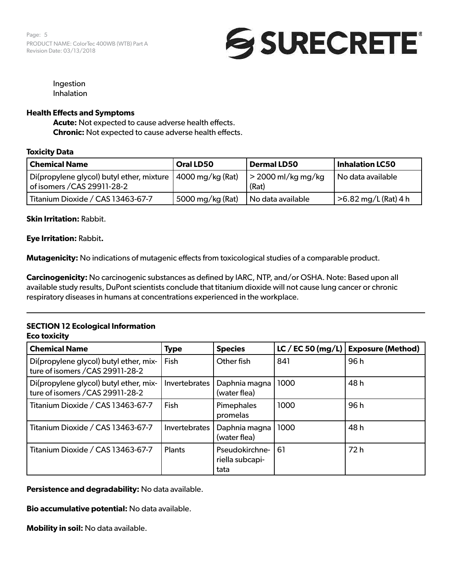Page: 5 PRODUCT NAME: ColorTec 400WB (WTB) Part A Revision Date: 03/13/2018



Ingestion Inhalation

# **Health Effects and Symptoms**

**Acute:** Not expected to cause adverse health effects. **Chronic:** Not expected to cause adverse health effects.

# **Toxicity Data**

| Chemical Name                                                                              | Oral LD50        | <b>Dermal LD50</b>                  | <b>Inhalation LC50</b> |
|--------------------------------------------------------------------------------------------|------------------|-------------------------------------|------------------------|
| Di(propylene glycol) butyl ether, mixture 14000 mg/kg (Rat)<br>of isomers / CAS 29911-28-2 |                  | $\vert$ > 2000 ml/kg mg/kg<br>(Rat) | No data available      |
| Titanium Dioxide / CAS 13463-67-7                                                          | 5000 mg/kg (Rat) | No data available                   | >6.82 mg/L (Rat) 4 h   |

# **Skin Irritation:** Rabbit.

**Eye Irritation:** Rabbit**.**

**Mutagenicity:** No indications of mutagenic effects from toxicological studies of a comparable product.

**Carcinogenicity:** No carcinogenic substances as defined by IARC, NTP, and/or OSHA. Note: Based upon all available study results, DuPont scientists conclude that titanium dioxide will not cause lung cancer or chronic respiratory diseases in humans at concentrations experienced in the workplace.

# **SECTION 12 Ecological Information Eco toxicity**

| <b>Chemical Name</b>                                                       | <b>Type</b>   | <b>Species</b>                            | LC / EC 50 (mg/L) | <b>Exposure (Method)</b> |
|----------------------------------------------------------------------------|---------------|-------------------------------------------|-------------------|--------------------------|
| Di(propylene glycol) butyl ether, mix-<br>ture of isomers / CAS 29911-28-2 | Fish          | Other fish                                | 841               | 96h                      |
| Di(propylene glycol) butyl ether, mix-<br>ture of isomers / CAS 29911-28-2 | Invertebrates | Daphnia magna<br>(water flea)             | 1000              | 48 h                     |
| Titanium Dioxide / CAS 13463-67-7                                          | Fish          | Pimephales<br>promelas                    | 1000              | 96 h                     |
| Titanium Dioxide / CAS 13463-67-7                                          | Invertebrates | Daphnia magna<br>(water flea)             | 1000              | 48 h                     |
| Titanium Dioxide / CAS 13463-67-7                                          | <b>Plants</b> | Pseudokirchne-<br>riella subcapi-<br>tata | 61                | 72h                      |

**Persistence and degradability:** No data available.

**Bio accumulative potential:** No data available.

**Mobility in soil:** No data available.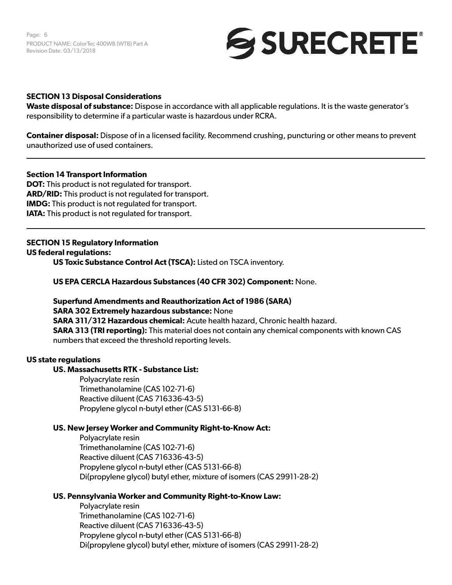Page: 6 PRODUCT NAME: ColorTec 400WB (WTB) Part A Revision Date: 03/13/2018

# SURECRETE®

#### **SECTION 13 Disposal Considerations**

**Waste disposal of substance:** Dispose in accordance with all applicable regulations. It is the waste generator's responsibility to determine if a particular waste is hazardous under RCRA.

**Container disposal:** Dispose of in a licensed facility. Recommend crushing, puncturing or other means to prevent unauthorized use of used containers.

#### **Section 14 Transport Information**

**DOT:** This product is not regulated for transport. **ARD/RID:** This product is not regulated for transport. **IMDG:** This product is not regulated for transport. **IATA:** This product is not regulated for transport.

# **SECTION 15 Regulatory Information**

**US federal regulations:** 

**US Toxic Substance Control Act (TSCA):** Listed on TSCA inventory.

**US EPA CERCLA Hazardous Substances (40 CFR 302) Component:** None.

**Superfund Amendments and Reauthorization Act of 1986 (SARA) SARA 302 Extremely hazardous substance:** None **SARA 311/312 Hazardous chemical:** Acute health hazard, Chronic health hazard. **SARA 313 (TRI reporting):** This material does not contain any chemical components with known CAS numbers that exceed the threshold reporting levels.

#### **US state regulations**

# **US. Massachusetts RTK - Substance List:**

Polyacrylate resin Trimethanolamine (CAS 102-71-6) Reactive diluent (CAS 716336-43-5) Propylene glycol n-butyl ether (CAS 5131-66-8)

#### **US. New Jersey Worker and Community Right-to-Know Act:**

Polyacrylate resin Trimethanolamine (CAS 102-71-6) Reactive diluent (CAS 716336-43-5) Propylene glycol n-butyl ether (CAS 5131-66-8) Di(propylene glycol) butyl ether, mixture of isomers (CAS 29911-28-2)

# **US. Pennsylvania Worker and Community Right-to-Know Law:**

Polyacrylate resin Trimethanolamine (CAS 102-71-6) Reactive diluent (CAS 716336-43-5) Propylene glycol n-butyl ether (CAS 5131-66-8) Di(propylene glycol) butyl ether, mixture of isomers (CAS 29911-28-2)